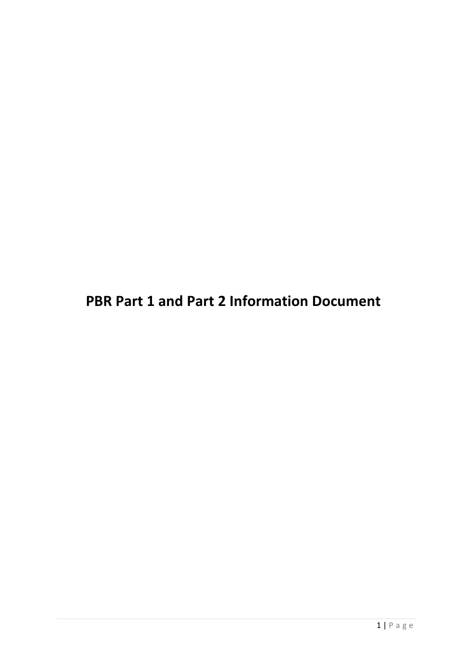**PBR Part 1 and Part 2 Information Document**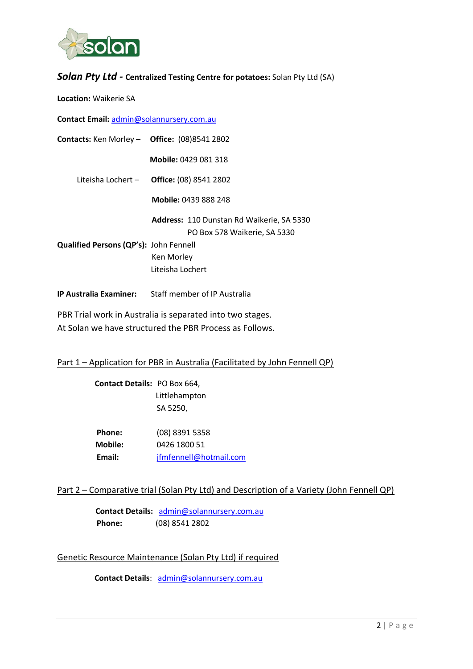

## *Solan Pty Ltd -* **Centralized Testing Centre for potatoes:** Solan Pty Ltd (SA)

#### **Location:** Waikerie SA

**Contact Email:** [admin@solannursery.com.au](mailto:admin@solannursery.com.au)

| Contacts: Ken Morley - Office: (08)8541 2802 |                                                                           |  |  |  |  |  |  |
|----------------------------------------------|---------------------------------------------------------------------------|--|--|--|--|--|--|
|                                              | <b>Mobile: 0429 081 318</b>                                               |  |  |  |  |  |  |
|                                              | Liteisha Lochert $-$ Office: (08) 8541 2802                               |  |  |  |  |  |  |
|                                              | Mobile: 0439 888 248                                                      |  |  |  |  |  |  |
|                                              | Address: 110 Dunstan Rd Waikerie, SA 5330<br>PO Box 578 Waikerie, SA 5330 |  |  |  |  |  |  |
| Qualified Persons (QP's): John Fennell       |                                                                           |  |  |  |  |  |  |
|                                              | Ken Morley                                                                |  |  |  |  |  |  |
|                                              | Liteisha Lochert                                                          |  |  |  |  |  |  |
| <b>IP Australia Examiner:</b>                | Staff member of IP Australia                                              |  |  |  |  |  |  |

PBR Trial work in Australia is separated into two stages. At Solan we have structured the PBR Process as Follows.

#### Part 1 – Application for PBR in Australia (Facilitated by John Fennell QP)

| <b>Contact Details: PO Box 664,</b> |                        |
|-------------------------------------|------------------------|
|                                     | Littlehampton          |
|                                     | SA 5250,               |
|                                     |                        |
| Phone:                              | (08) 8391 5358         |
| Mobile:                             | 0426 1800 51           |
| Email:                              | jfmfennell@hotmail.com |
|                                     |                        |

#### Part 2 – Comparative trial (Solan Pty Ltd) and Description of a Variety (John Fennell QP)

 **Contact Details:** [admin@solannursery.com.au](mailto:admin@solannursery.com.au) **Phone:** (08) 8541 2802

#### Genetic Resource Maintenance (Solan Pty Ltd) if required

 **Contact Details**: [admin@solannursery.com.au](mailto:admin@solannursery.com.au)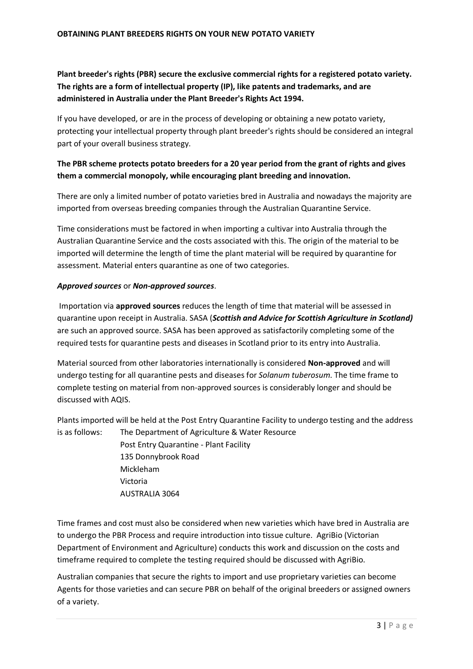### **Plant breeder's rights (PBR) secure the exclusive commercial rights for a registered potato variety. The rights are a form of intellectual property (IP), like patents and trademarks, and are administered in Australia under the Plant Breeder's Rights Act 1994.**

If you have developed, or are in the process of developing or obtaining a new potato variety, protecting your intellectual property through plant breeder's rights should be considered an integral part of your overall business strategy.

#### **The PBR scheme protects potato breeders for a 20 year period from the grant of rights and gives them a commercial monopoly, while encouraging plant breeding and innovation.**

There are only a limited number of potato varieties bred in Australia and nowadays the majority are imported from overseas breeding companies through the Australian Quarantine Service.

Time considerations must be factored in when importing a cultivar into Australia through the Australian Quarantine Service and the costs associated with this. The origin of the material to be imported will determine the length of time the plant material will be required by quarantine for assessment. Material enters quarantine as one of two categories.

#### *Approved sources* or *Non-approved sources*.

Importation via **approved sources** reduces the length of time that material will be assessed in quarantine upon receipt in Australia. SASA (*Scottish and Advice for Scottish Agriculture in Scotland)*  are such an approved source. SASA has been approved as satisfactorily completing some of the required tests for quarantine pests and diseases in Scotland prior to its entry into Australia.

Material sourced from other laboratories internationally is considered **Non-approved** and will undergo testing for all quarantine pests and diseases for *Solanum tuberosum*. The time frame to complete testing on material from non-approved sources is considerably longer and should be discussed with AQIS.

Plants imported will be held at the Post Entry Quarantine Facility to undergo testing and the address is as follows: The Department of Agriculture & Water Resource

> Post Entry Quarantine - Plant Facility 135 Donnybrook Road Mickleham Victoria AUSTRALIA 3064

Time frames and cost must also be considered when new varieties which have bred in Australia are to undergo the PBR Process and require introduction into tissue culture. AgriBio (Victorian Department of Environment and Agriculture) conducts this work and discussion on the costs and timeframe required to complete the testing required should be discussed with AgriBio.

Australian companies that secure the rights to import and use proprietary varieties can become Agents for those varieties and can secure PBR on behalf of the original breeders or assigned owners of a variety.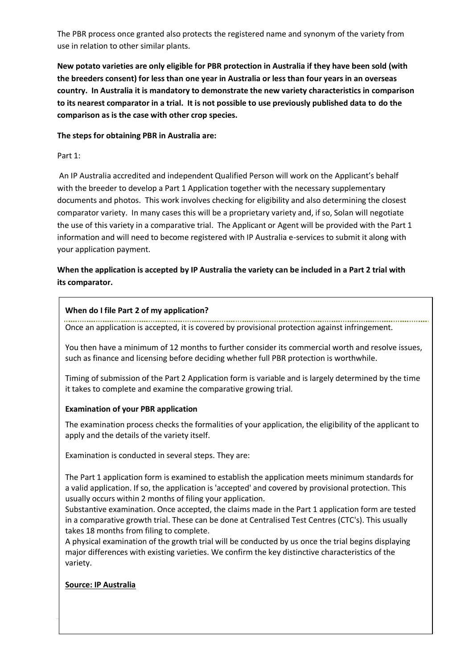The PBR process once granted also protects the registered name and synonym of the variety from use in relation to other similar plants.

**New potato varieties are only eligible for PBR protection in Australia if they have been sold (with the breeders consent) for less than one year in Australia or less than four years in an overseas country. In Australia it is mandatory to demonstrate the new variety characteristics in comparison to its nearest comparator in a trial. It is not possible to use previously published data to do the comparison as is the case with other crop species.**

#### **The steps for obtaining PBR in Australia are:**

#### Part 1:

An IP Australia accredited and independent Qualified Person will work on the Applicant's behalf with the breeder to develop a Part 1 Application together with the necessary supplementary documents and photos. This work involves checking for eligibility and also determining the closest comparator variety. In many cases this will be a proprietary variety and, if so, Solan will negotiate the use of this variety in a comparative trial. The Applicant or Agent will be provided with the Part 1 information and will need to become registered with IP Australia e-services to submit it along with your application payment.

#### **When the application is accepted by IP Australia the variety can be included in a Part 2 trial with its comparator.**

#### **When do I file Part 2 of my application?**

Once an application is accepted, it is covered by provisional protection against infringement.

You then have a minimum of 12 months to further consider its commercial worth and resolve issues, such as finance and licensing before deciding whether full PBR protection is worthwhile.

Timing of submission of the Part 2 Application form is variable and is largely determined by the time it takes to complete and examine the comparative growing trial.

#### **Examination of your PBR application**

The examination process checks the formalities of your application, the eligibility of the applicant to apply and the details of the variety itself.

Examination is conducted in several steps. They are:

1. The Part 1 application form is examined to establish the application meets minimum standards for a valid application. If so, the application is 'accepted' and covered by provisional protection. This usually occurs within 2 months of filing your application.

2. Substantive examination. Once accepted, the claims made in the Part 1 application form are tested in a comparative growth trial. These can be done at Centralised Test Centres (CTC's). This usually takes 18 months from filing to complete.

3. A physical examination of the growth trial will be conducted by us once the trial begins displaying major differences with existing varieties. We confirm the key distinctive characteristics of the variety.

#### **Source: IP Australia**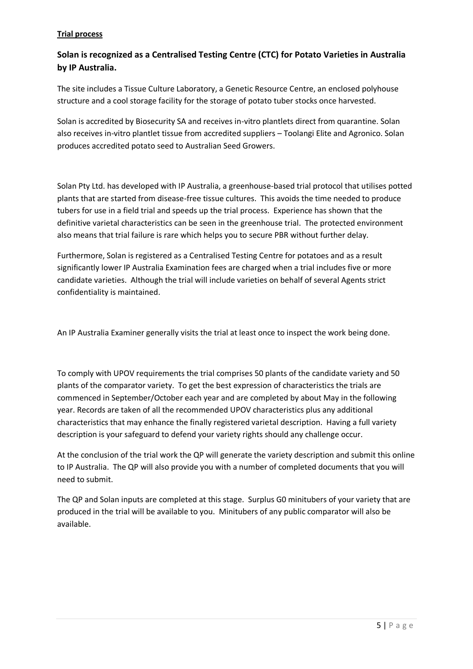#### **Trial process**

## **Solan is recognized as a Centralised Testing Centre (CTC) for Potato Varieties in Australia by IP Australia.**

The site includes a Tissue Culture Laboratory, a Genetic Resource Centre, an enclosed polyhouse structure and a cool storage facility for the storage of potato tuber stocks once harvested.

Solan is accredited by Biosecurity SA and receives in-vitro plantlets direct from quarantine. Solan also receives in-vitro plantlet tissue from accredited suppliers – Toolangi Elite and Agronico. Solan produces accredited potato seed to Australian Seed Growers.

Solan Pty Ltd. has developed with IP Australia, a greenhouse-based trial protocol that utilises potted plants that are started from disease-free tissue cultures. This avoids the time needed to produce tubers for use in a field trial and speeds up the trial process. Experience has shown that the definitive varietal characteristics can be seen in the greenhouse trial. The protected environment also means that trial failure is rare which helps you to secure PBR without further delay.

Furthermore, Solan is registered as a Centralised Testing Centre for potatoes and as a result significantly lower IP Australia Examination fees are charged when a trial includes five or more candidate varieties. Although the trial will include varieties on behalf of several Agents strict confidentiality is maintained.

An IP Australia Examiner generally visits the trial at least once to inspect the work being done.

To comply with UPOV requirements the trial comprises 50 plants of the candidate variety and 50 plants of the comparator variety. To get the best expression of characteristics the trials are commenced in September/October each year and are completed by about May in the following year. Records are taken of all the recommended UPOV characteristics plus any additional characteristics that may enhance the finally registered varietal description. Having a full variety description is your safeguard to defend your variety rights should any challenge occur.

At the conclusion of the trial work the QP will generate the variety description and submit this online to IP Australia. The QP will also provide you with a number of completed documents that you will need to submit.

The QP and Solan inputs are completed at this stage. Surplus G0 minitubers of your variety that are produced in the trial will be available to you. Minitubers of any public comparator will also be available.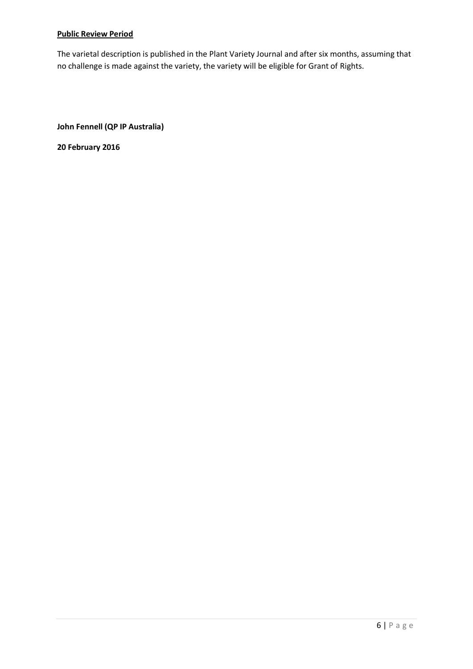#### **Public Review Period**

The varietal description is published in the Plant Variety Journal and after six months, assuming that no challenge is made against the variety, the variety will be eligible for Grant of Rights.

**John Fennell (QP IP Australia)**

**20 February 2016**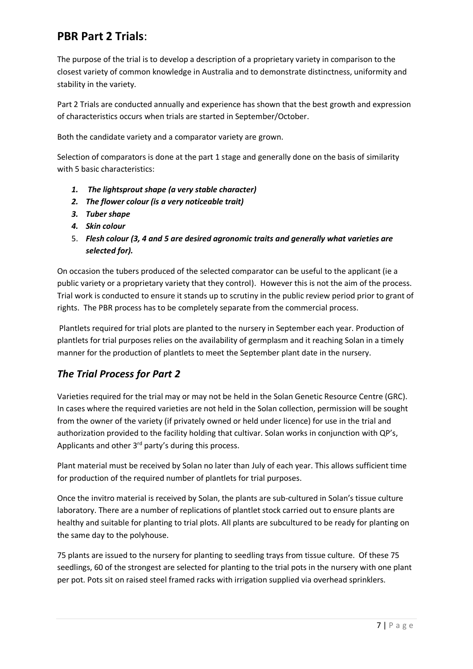# **PBR Part 2 Trials**:

The purpose of the trial is to develop a description of a proprietary variety in comparison to the closest variety of common knowledge in Australia and to demonstrate distinctness, uniformity and stability in the variety.

Part 2 Trials are conducted annually and experience has shown that the best growth and expression of characteristics occurs when trials are started in September/October.

Both the candidate variety and a comparator variety are grown.

Selection of comparators is done at the part 1 stage and generally done on the basis of similarity with 5 basic characteristics:

- *1. The lightsprout shape (a very stable character)*
- *2. The flower colour (is a very noticeable trait)*
- *3. Tuber shape*
- *4. Skin colour*
- 5. *Flesh colour (3, 4 and 5 are desired agronomic traits and generally what varieties are selected for).*

On occasion the tubers produced of the selected comparator can be useful to the applicant (ie a public variety or a proprietary variety that they control). However this is not the aim of the process. Trial work is conducted to ensure it stands up to scrutiny in the public review period prior to grant of rights. The PBR process has to be completely separate from the commercial process.

Plantlets required for trial plots are planted to the nursery in September each year. Production of plantlets for trial purposes relies on the availability of germplasm and it reaching Solan in a timely manner for the production of plantlets to meet the September plant date in the nursery.

## *The Trial Process for Part 2*

Varieties required for the trial may or may not be held in the Solan Genetic Resource Centre (GRC). In cases where the required varieties are not held in the Solan collection, permission will be sought from the owner of the variety (if privately owned or held under licence) for use in the trial and authorization provided to the facility holding that cultivar. Solan works in conjunction with QP's, Applicants and other 3<sup>rd</sup> party's during this process.

Plant material must be received by Solan no later than July of each year. This allows sufficient time for production of the required number of plantlets for trial purposes.

Once the invitro material is received by Solan, the plants are sub-cultured in Solan's tissue culture laboratory. There are a number of replications of plantlet stock carried out to ensure plants are healthy and suitable for planting to trial plots. All plants are subcultured to be ready for planting on the same day to the polyhouse.

75 plants are issued to the nursery for planting to seedling trays from tissue culture. Of these 75 seedlings, 60 of the strongest are selected for planting to the trial pots in the nursery with one plant per pot. Pots sit on raised steel framed racks with irrigation supplied via overhead sprinklers.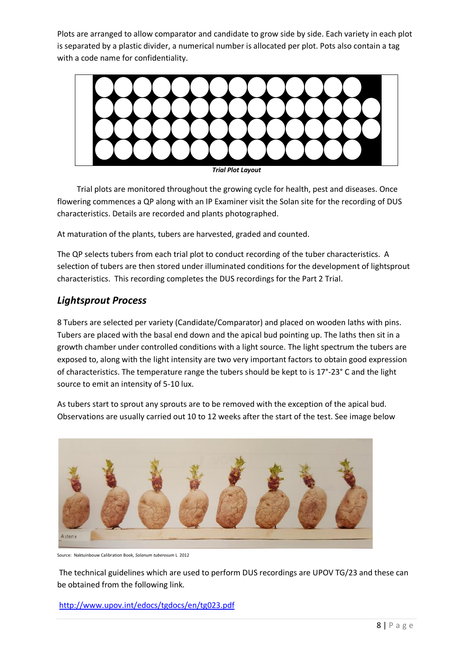Plots are arranged to allow comparator and candidate to grow side by side. Each variety in each plot is separated by a plastic divider, a numerical number is allocated per plot. Pots also contain a tag with a code name for confidentiality.



 Trial plots are monitored throughout the growing cycle for health, pest and diseases. Once flowering commences a QP along with an IP Examiner visit the Solan site for the recording of DUS characteristics. Details are recorded and plants photographed.

At maturation of the plants, tubers are harvested, graded and counted.

The QP selects tubers from each trial plot to conduct recording of the tuber characteristics. A selection of tubers are then stored under illuminated conditions for the development of lightsprout characteristics. This recording completes the DUS recordings for the Part 2 Trial.

## *Lightsprout Process*

8 Tubers are selected per variety (Candidate/Comparator) and placed on wooden laths with pins. Tubers are placed with the basal end down and the apical bud pointing up. The laths then sit in a growth chamber under controlled conditions with a light source. The light spectrum the tubers are exposed to, along with the light intensity are two very important factors to obtain good expression of characteristics. The temperature range the tubers should be kept to is 17°-23° C and the light source to emit an intensity of 5-10 lux.



As tubers start to sprout any sprouts are to be removed with the exception of the apical bud. Observations are usually carried out 10 to 12 weeks after the start of the test. See image below

Source: Naktuinbouw Calibration Book, *Solanum tuberosum* L 2012

The technical guidelines which are used to perform DUS recordings are UPOV TG/23 and these can be obtained from the following link.

<http://www.upov.int/edocs/tgdocs/en/tg023.pdf>